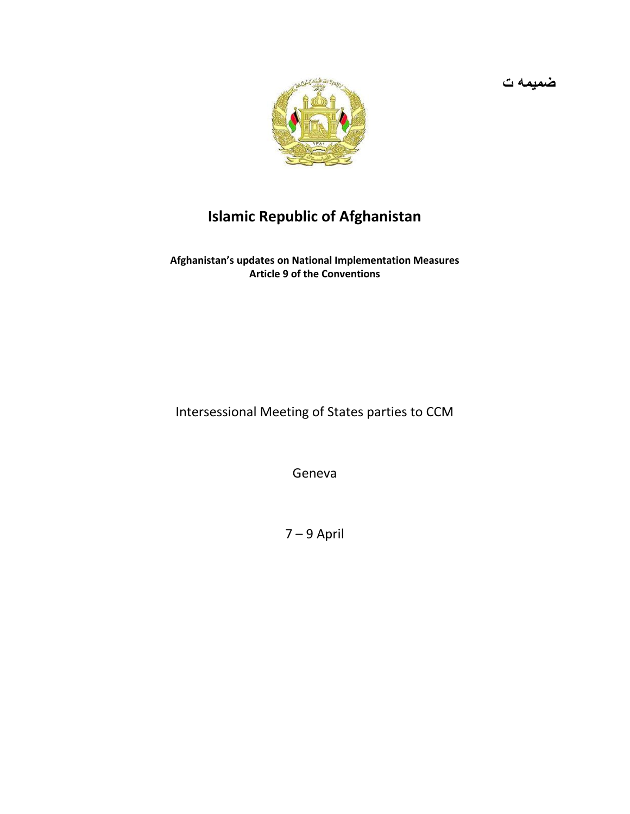

## **Islamic Republic of Afghanistan**

**Afghanistan's updates on National Implementation Measures Article 9 of the Conventions**

Intersessional Meeting of States parties to CCM

Geneva

7 – 9 April

**ضميمه ت**